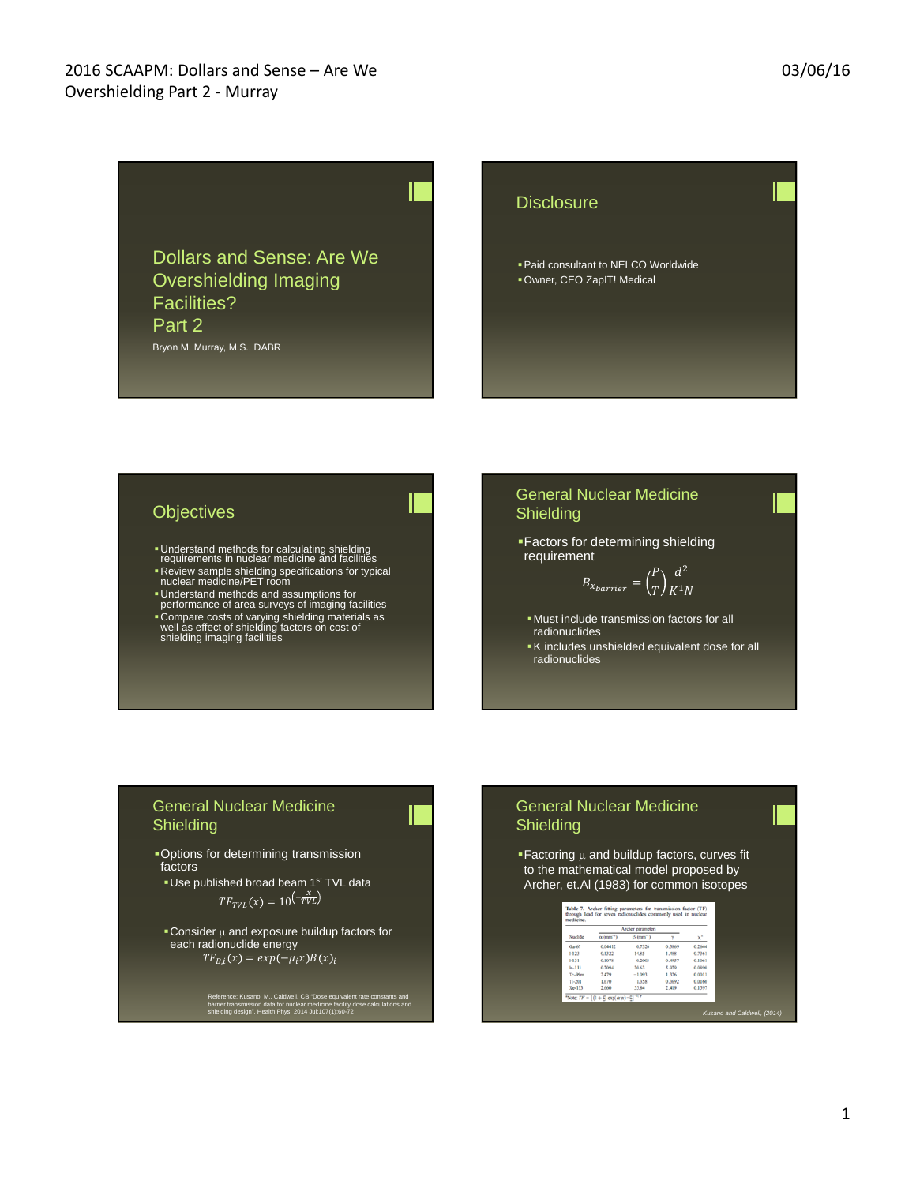Dollars and Sense: Are We Overshielding Imaging Facilities? Part 2 Bryon M. Murray, M.S., DABR

#### **Disclosure**

Paid consultant to NELCO Worldwide Owner, CEO ZapIT! Medical

## **Objectives**

- Understand methods for calculating shielding requirements in nuclear medicine and facilities
- Review sample shielding specifications for typical nuclear medicine/PET room
- Understand methods and assumptions for performance of area surveys of imaging facilities Compare costs of varying shielding materials as well as effect of shielding factors on cost of shielding imaging facilities

#### General Nuclear Medicine **Shielding**

Factors for determining shielding requirement

$$
B_{x_{barrier}} = \left(\frac{P}{T}\right) \frac{d^2}{K^1 N}
$$

- Must include transmission factors for all radionuclides
- K includes unshielded equivalent dose for all radionuclides

#### General Nuclear Medicine Shielding

Options for determining transmission factors

**Use published broad beam 1st TVL data**  $TF_{TVL}(x) = 10 \left( -\frac{x}{TVL} \right)$ 

Consider  $\mu$  and exposure buildup factors for each radionuclide energy  $TF_{B,i}(x) = exp(-\mu_i x)B(x)_i$ 

Reference: Kusano, M., Caldwell, CB "Dose equivalent rate constants and<br>barrier transmission data for nuclear medicine facility dose calculations and<br>shielding design", Health Phys. 2014 Jul;107(1):60-72

#### General Nuclear Medicine Shielding

**Factoring**  $\mu$  **and buildup factors, curves fit** to the mathematical model proposed by Archer, et.Al (1983) for common isotopes

|            | Archer parameters            |                             |        |        |
|------------|------------------------------|-----------------------------|--------|--------|
| Nuclide    | $\alpha$ (mm <sup>-1</sup> ) | $\beta$ (mm <sup>-1</sup> ) |        | $x^2$  |
| Ga47       | 0.04412                      | 0.7326                      | 0.3869 | 0.2644 |
| $1-123$    | 0.1322                       | 14.85                       | 1,488  | 0.7361 |
| $1-131$    | 0.1078                       | 0.2003                      | 0.4957 | 0.1061 |
| $1n-111$   | 0.7094                       | \$6.63                      | 5.970  | 0.0890 |
| Te-99m     | 2.479                        | $-1.093$                    | 1,376  | 0.0011 |
| $T1 - 201$ | 1.670                        | 1,358                       | 0.3692 | 0.0160 |
| Xe-133     | 2,660                        | 55.84                       | 2,419  | 0.1597 |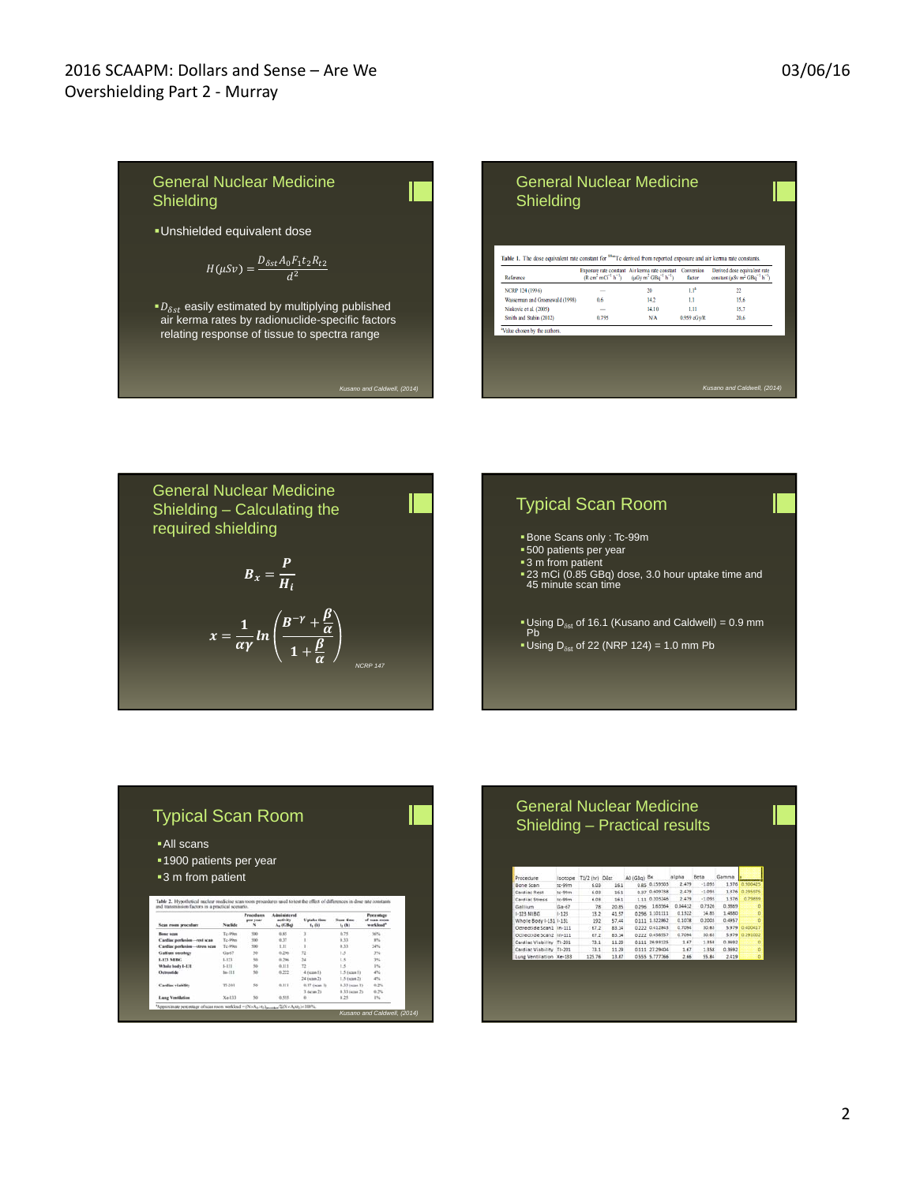



| $\blacksquare$ All scans<br>■ 1900 patients per year                                                                                                                            |                |                                    |                                           |                         |                           |                                                |
|---------------------------------------------------------------------------------------------------------------------------------------------------------------------------------|----------------|------------------------------------|-------------------------------------------|-------------------------|---------------------------|------------------------------------------------|
|                                                                                                                                                                                 |                |                                    |                                           |                         |                           |                                                |
|                                                                                                                                                                                 |                |                                    |                                           |                         |                           |                                                |
|                                                                                                                                                                                 |                |                                    |                                           |                         |                           |                                                |
|                                                                                                                                                                                 |                |                                    |                                           |                         |                           |                                                |
| ■ 3 m from patient                                                                                                                                                              |                |                                    |                                           |                         |                           |                                                |
|                                                                                                                                                                                 |                |                                    |                                           |                         |                           |                                                |
|                                                                                                                                                                                 |                |                                    |                                           |                         |                           |                                                |
|                                                                                                                                                                                 |                |                                    |                                           |                         |                           |                                                |
| Table 2. Hypothetical nuclear medicine scan room procedures used to test the effect of differences in dose rate constants.<br>and transmission factors in a practical scenario. |                |                                    |                                           |                         |                           |                                                |
|                                                                                                                                                                                 |                |                                    |                                           |                         |                           |                                                |
| Scan room procedure                                                                                                                                                             | <b>Nuclide</b> | <b>Procedures</b><br>per year<br>× | Administreed.<br>activity.<br>$A_n$ (GBq) | Uptake time<br>$f1$ (k) | <b>Scan Kose</b><br>4.081 | <b>Porcentage</b><br>of scan room<br>workload* |
| <b>Bone scan</b>                                                                                                                                                                | Tr-Pies        | TOO:                               | 6.95                                      | ä                       | 0.75                      | 56%                                            |
| Cardiac perfasion-rest scan                                                                                                                                                     | Tc-99m         | 500                                | 0.37                                      |                         | 0.33                      | sn.                                            |
| Cardiac perfusion-stress scan                                                                                                                                                   | Tr. Mins       | $100 -$                            | 1.11                                      | ١                       | 0.33                      | 34%                                            |
| Gallium sneskers                                                                                                                                                                | 0s67           | 58                                 | 8.296                                     | 12                      | 1.5                       | 3%                                             |
| <b>LITS MING</b>                                                                                                                                                                | 1.123          | $\overline{\phantom{a}}$           | 0.296                                     | $^{34}$                 | 1.5                       | 3%                                             |
| Whole body 1-131                                                                                                                                                                | $1-131$        | 55                                 | 0.111                                     | T2                      | 1.5                       | 254                                            |
| Octronide                                                                                                                                                                       | $16 - 111$     | 5ú                                 | 0.222                                     | 4 (scan 1)              | 1.5 (sqs 1)               | <b>ANG</b>                                     |
|                                                                                                                                                                                 |                |                                    |                                           | 24 (scan 2)             | 1.5 (sept 2)              | 4%                                             |
| Cardiac viability                                                                                                                                                               | TL201          | 55                                 | 0.111                                     | 0.17 (scan 1)           | $0.33$ dagan $13$         | 6.7%                                           |
|                                                                                                                                                                                 |                |                                    |                                           | 3 (igan 2)              | 0.35 (scan 2)             | 0.7%                                           |

| Procedure                | Isotope   | T1/2 (hr) Dist |       | A0 (GBa) | Bx             | alpha   | Beta     | Gamma  |           |
|--------------------------|-----------|----------------|-------|----------|----------------|---------|----------|--------|-----------|
| Bone Scan                | $x - 69m$ | 6.03           | 16.1  | 0.85     | 0.159503       | 2.479   | $-1.093$ | 1.376  | 0.900425  |
| Cardiac Rest             | tr-99m    | 6.03           | 16.1  | 0.97     | 0.609758       | 2.479   | $-1.093$ | 1.376  | 0.295975  |
| Cardiac Stress           | tr-99m    | 6.03           | 16.1  | 111      | 0.205246       | 2.479   | $-1.093$ | 1.376  | 0.79839   |
| Gallium                  | $Ca-67$   | 78             | 20.85 | 0.296    | 1.63564        | 0.04412 | 0.7326   | 0.3869 | 'n        |
| $1-523$ MIRG             | $1-123$   | 13.2           | 41.57 | 0.295    | 1.101111       | 0.1322  | 14.85    | 1,4880 | 'n        |
| Whole Body 1-131 1-131   |           | 192            | 57.44 | 0.111    | 1.822862       | 0.1078  | 0.2003   | 0.4957 | 'n        |
| Ortreotide Scan1 In-111  |           | 67.2           | 83.14 |          | 0.222 0.412845 | 0.7094  | 30.63    | 5.979  | 0.400417  |
| Octreotide Scan2 In-111  |           | 67.2           | 83.14 |          | 0.222 0.456557 | 0.7094  | 30.63    | 5.979  | 10.293002 |
| Cardiac Viability TI-201 |           | 73.1           | 11.29 |          | 0.111 26.93125 | 1.67    | 1358     | 0.3642 | ö         |
| Cardiac Viability TI-201 |           | 21.1           | 11.29 |          | 0.111 27.29404 | 1.67    | 1.358    | 0.3692 | o         |
| Lung Ventilation Xe-133  |           | 125.76         | 18.87 |          | 0.555 5.777766 | 2.66    | 55.84    | 2.419  | ö         |

 $\begin{array}{c} 20 \\ 14.2 \\ 14.10 \end{array}$ 

 $_{\rm NA}$ 

 $1.1^{\circ}$ 

 $\frac{1.1}{1.11}$ 

0.959 cGy/R

 $22$  $\frac{15.6}{15.7}$ <br>20.6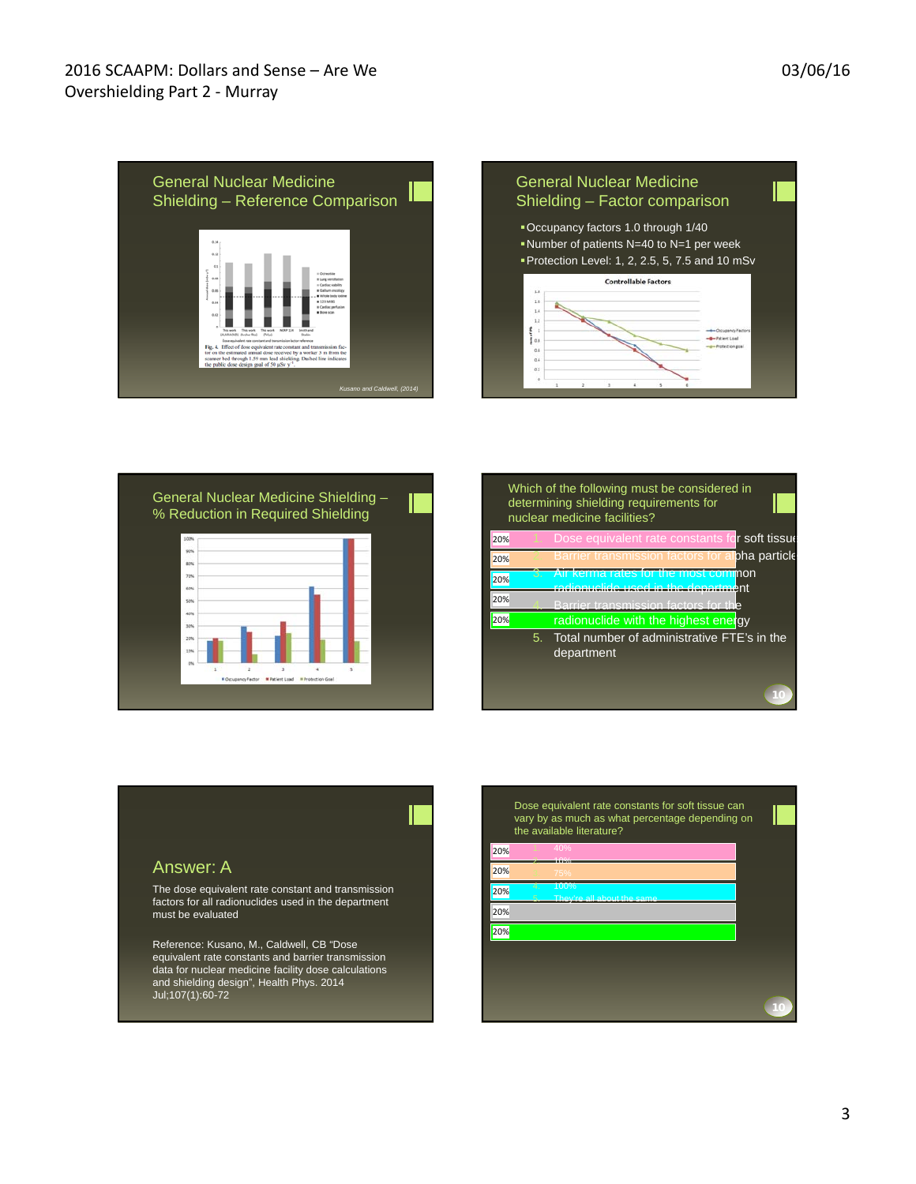





|     |    | Which of the following must be considered in<br>determining shielding requirements for<br>nuclear medicine facilities? |
|-----|----|------------------------------------------------------------------------------------------------------------------------|
| 20% |    | Dose equivalent rate constants for soft tissue                                                                         |
| 20% |    | Barrier transmission factors for alpha particle                                                                        |
| 20% |    | Air kerma rates for the most cominon<br>radionuclide used in the department                                            |
| 20% |    | Barrier transmission factors for the                                                                                   |
| 20% |    | radionuclide with the highest energy                                                                                   |
|     | 5. | Total number of administrative FTE's in the<br>department                                                              |
|     |    |                                                                                                                        |

Answer: A

The dose equivalent rate constant and transmission factors for all radionuclides used in the department must be evaluated

Reference: Kusano, M., Caldwell, CB "Dose equivalent rate constants and barrier transmission data for nuclear medicine facility dose calculations and shielding design", Health Phys. 2014 Jul;107(1):60-72

Dose equivalent rate constants for soft tissue can vary by as much as what percentage depending on the available literature?

|        |          | 10%                                |
|--------|----------|------------------------------------|
| 20%    |          | 75%                                |
| 20%    | 4.<br>Ś. | 100%<br>They're all about the same |
| 20%    |          |                                    |
| $20\%$ |          |                                    |
|        |          |                                    |
|        |          |                                    |
|        |          |                                    |

20%

**10**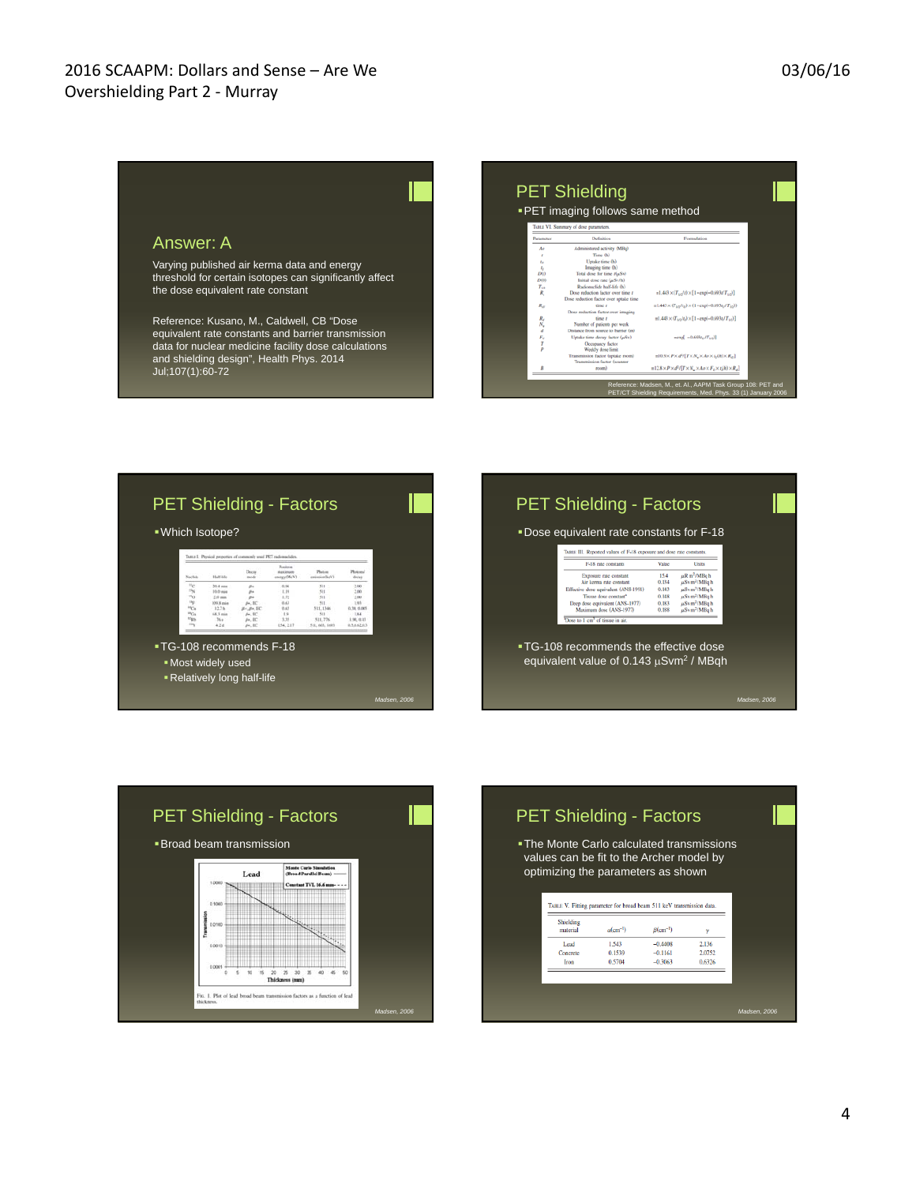#### PET Shielding PET imaging follows same method Answer: A Varying published air kerma data and energy  $\begin{array}{c} I_I \\ D(t) \\ D(0) \\ T_{1/2} \\ R_t \end{array}$ threshold for certain isotopes can significantly affect e rate (µSv/h)<br>de half-life (h)  $=1.443 \times (T_{1/2}/t) \times [1-\exp(-0.693t/T_{1/2})]$ the dose equivalent rate constant  ${=}1.443\!\times\!(\overline{T}_{1/2}/t_0)\!\times\!(1\!-\!\exp(-0.693t_0/T_{1/2}))$  $R_{\rm eff}$  $n1.443 \times (T_{1/2}t_1) \times [1 - \exp(-0.693t_0/T_{1/2})]$ Reference: Kusano, M., Caldwell, CB "Dose  $R_d$   $N_u$   $d$   $F_d$   $T$   $p$ equivalent rate constants and barrier transmission  $=exp[-0.693t_0/T_{1/2})]$ data for nuclear medicine facility dose calculations  $\pm 10.9 \! \times \! P \! \times \! d^2/\!\left\{ T \! \times \! N_u \! \times \! A \sigma \! \times \! t_0(\hbar) \! \times \! R_{d2} \right\}$ and shielding design", Health Phys. 2014  $\texttt{m12.8}\times P \times d^2\ell[T \times N_u \times Ao \times F_v \times t_i(h) \times R_d]$ Jul;107(1):60-72

|                       |                      | Tutta I. Physical properties of commonly used PET radiomelides |                                                              |                         |                        |
|-----------------------|----------------------|----------------------------------------------------------------|--------------------------------------------------------------|-------------------------|------------------------|
| Nection               | <b>Half</b> Ade      | Docus<br>moto                                                  | Positron<br><b><i><u>ASAA lamuunn</u></i></b><br>enotay(MeV) | Photos<br>emission/keV) | Plushmul<br>doces      |
| ×<br>15               | 35.4 min<br>10.0 min | g.<br>in.                                                      | 0.96<br>1.19                                                 | 511<br>531              | 2.00<br>2.00           |
| $\pi_0$               | $2.0$ min            | Se                                                             | 1.72                                                         | 511                     | 2.90                   |
| $v_1$                 | 109 S min            | 84.50                                                          | 0.63                                                         | 511                     | 1.93                   |
| 10<br>HO <sub>1</sub> | 327h<br>68.3 min     | $B - B + 3C$<br>$B$ +. EC                                      | 0.65<br>19                                                   | 511, 1346<br>$-511$     | 0.38, 0.005<br>$-1.84$ |
| <b>TON</b>            | 26.9                 | $B4$ , EC                                                      | 5.35                                                         | 511, 776                | 1.90, 0.13             |
|                       | 4.2.8                | So. BC                                                         | 154, 2.17                                                    | 511, 601, 1495          | 0.3.0.67.03            |

| TABLE III. Reported values of F-18 exposure and dose rate constants.<br>E-18 rate constants<br>Value<br>Units<br>uR m <sup>2</sup> /MBq h<br>15.4<br>Exposure rate constant<br>µSv m <sup>2</sup> /MBq h<br>Air kerma rate constant<br>0.134<br>µSv m <sup>3</sup> /MBq h<br>Effective dose equivalent (ANS-1991)<br>0.143<br>Tissue dose constant*<br>uSv m <sup>2</sup> /MRq h<br>0.148<br>$\mu$ Sv $m^2/MBq$ h<br>Deep dose equivalent (ANS-1977)<br>0.183<br>uSv m <sup>2</sup> /MBah<br>Maximum dose (ANS-1977)<br>0.188<br>"Dose to 1 cm" of tissue in air. |  | • Dose equivalent rate constants for F-18 |
|-------------------------------------------------------------------------------------------------------------------------------------------------------------------------------------------------------------------------------------------------------------------------------------------------------------------------------------------------------------------------------------------------------------------------------------------------------------------------------------------------------------------------------------------------------------------|--|-------------------------------------------|
|                                                                                                                                                                                                                                                                                                                                                                                                                                                                                                                                                                   |  |                                           |
|                                                                                                                                                                                                                                                                                                                                                                                                                                                                                                                                                                   |  |                                           |
| ■ TG-108 recommends the effective dose                                                                                                                                                                                                                                                                                                                                                                                                                                                                                                                            |  |                                           |
| equivalent value of $0.143 \mu S$ vm <sup>2</sup> / MBqh                                                                                                                                                                                                                                                                                                                                                                                                                                                                                                          |  |                                           |

Reference: Madsen, M., et. Al., AAPM Task Group 108: PET and PET/CT Shielding Requirements, Med. Phys. 33 (1) January 2006



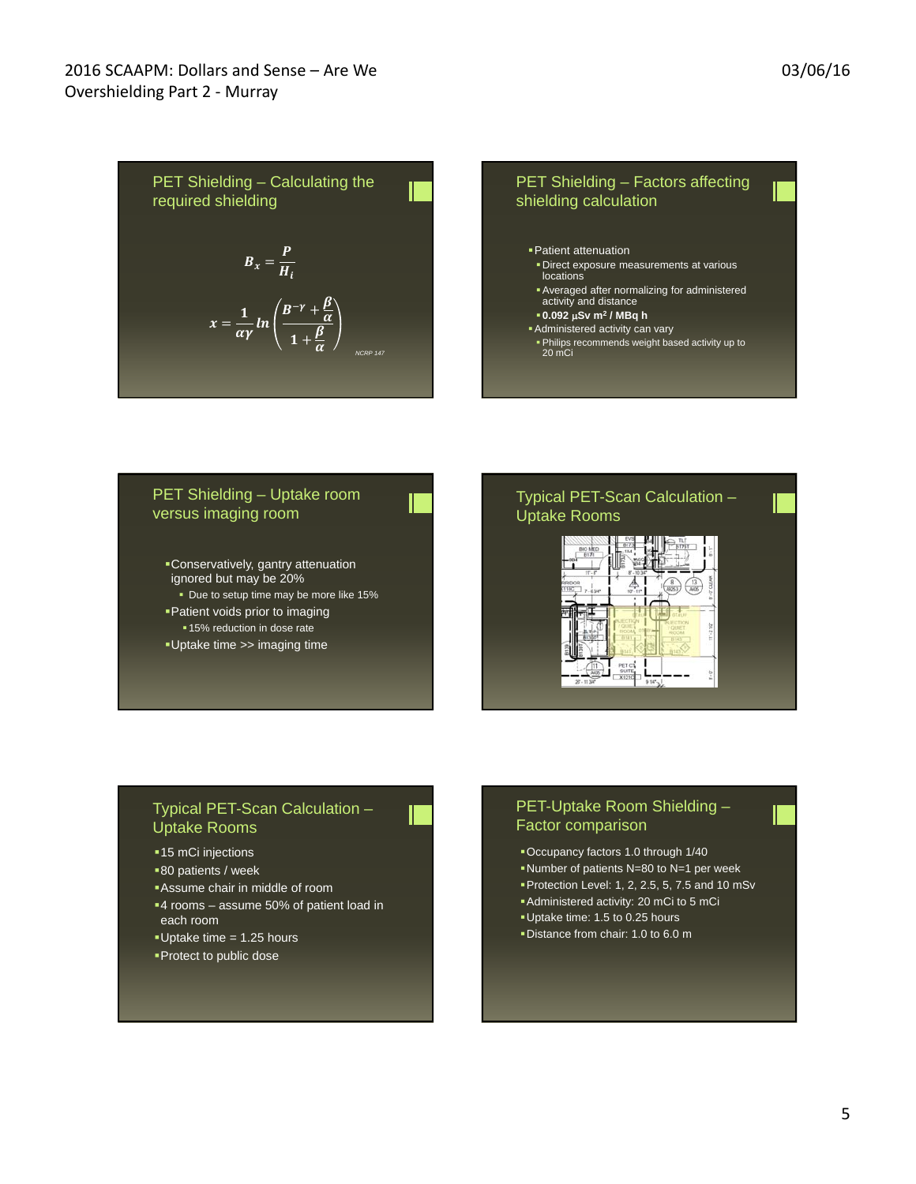PET Shielding – Calculating the required shielding

\n
$$
B_x = \frac{P}{H_i}
$$
\nEXECUTE: A vertical line is

\n
$$
x = \frac{1}{\alpha \gamma} ln \left( \frac{B^{-\gamma} + \frac{\beta}{\alpha}}{1 + \frac{\beta}{\alpha}} \right)
$$
\nEXECUTE: A vertical line is

\n
$$
x = \frac{1}{\alpha \gamma} ln \left( \frac{B^{-\gamma} + \frac{\beta}{\alpha}}{1 + \frac{\beta}{\alpha}} \right)
$$
\nEXECUTE: A vertical line is

\n
$$
x = \frac{1}{\alpha \gamma} ln \left( \frac{B^{-\gamma} + \frac{\beta}{\alpha}}{1 + \frac{\beta}{\alpha}} \right)
$$
\nEXECUTE: A vertical line is

\n
$$
x = \frac{1}{\alpha \gamma} ln \left( \frac{B^{-\gamma} + \frac{\beta}{\alpha}}{1 + \frac{\beta}{\alpha}} \right)
$$
\nEXECUTE: A vertical line is

\n
$$
x = \frac{1}{\alpha \gamma} ln \left( \frac{B^{-\gamma} + \frac{\beta}{\alpha}}{1 + \frac{\beta}{\alpha}} \right)
$$
\nEXECUTE: A vertical line is

\n
$$
x = \frac{1}{\alpha \gamma} ln \left( \frac{B^{-\gamma} + \frac{\beta}{\alpha}}{1 + \frac{\beta}{\alpha}} \right)
$$
\nEXECUTE: A vertical line is

\n
$$
x = \frac{1}{\alpha \gamma} ln \left( \frac{B^{-\gamma} + \frac{\beta}{\alpha}}{1 + \frac{\beta}{\alpha}} \right)
$$
\nEXECUTE: A vertical line is

\n
$$
x = \frac{1}{\alpha \gamma} ln \left( \frac{B^{-\gamma} + \frac{\beta}{\alpha}}{1 + \frac{\beta}{\alpha}} \right)
$$
\nEXECUTE: A vertical line is

\n
$$
x = \frac{1}{\alpha \gamma} ln \left( \frac{B^{-\gamma} + \frac{\beta}{\alpha}}{1 + \frac{\beta}{\alpha}} \right)
$$
\nEXECUTE: A vertical line is

\n
$$
x = \frac{1}{\alpha \gamma} ln \left( \frac{B^{-\gamma} + \frac{\beta}{\alpha}}{1 + \frac{\beta}{\alpha}} \right)
$$
\nEXECUTE: A vertical line is

\n
$$
x = \frac{1}{\alpha \gamma} ln \left( \frac
$$

#### PET Shielding – Uptake room versus imaging room

- Conservatively, gantry attenuation ignored but may be 20%
- Due to setup time may be more like 15% Patient voids prior to imaging
- 15% reduction in dose rate
- Uptake time >> imaging time

# Typical PET-Scan Calculation – Uptake Rooms

- Factors affecting

ormalizing for administered

lation



#### Typical PET-Scan Calculation – Uptake Rooms

- **-15 mCi injections**
- 80 patients / week
- Assume chair in middle of room
- 4 rooms assume 50% of patient load in each room
- Uptake time = 1.25 hours
- **Protect to public dose**

### PET-Uptake Room Shielding – Factor comparison

- Occupancy factors 1.0 through 1/40
- Number of patients N=80 to N=1 per week
- Protection Level: 1, 2, 2.5, 5, 7.5 and 10 mSv
- Administered activity: 20 mCi to 5 mCi
- Uptake time: 1.5 to 0.25 hours
- Distance from chair: 1.0 to 6.0 m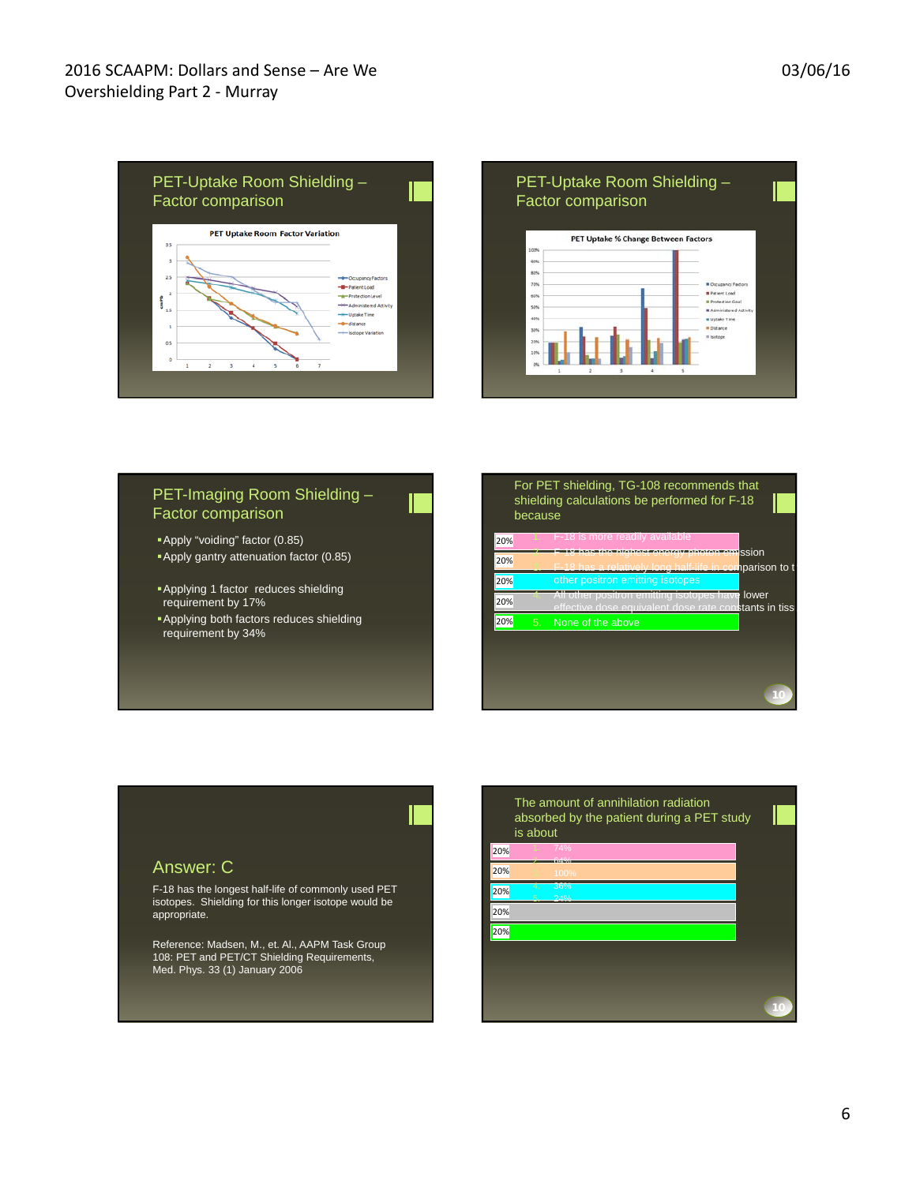



#### PET-Imaging Room Shielding – Factor comparison

- Apply "voiding" factor (0.85)
- Apply gantry attenuation factor (0.85)
- **Applying 1 factor reduces shielding** requirement by 17%
- Applying both factors reduces shielding requirement by 34%

|     | because | For PET shielding, TG-108 recommends that<br>shielding calculations be performed for F-18                 |  |
|-----|---------|-----------------------------------------------------------------------------------------------------------|--|
| 20% |         | F-18 is more readily available                                                                            |  |
| 20% |         | energy photon emission<br>has the highest<br>has a relatively long half-life in comparison to t           |  |
| 20% |         | other positron emitting isotopes                                                                          |  |
| 20% |         | All other positron emitting isotopes have lower<br>effective dose equivalent dose rate constants in tissi |  |
| 20% | 5.      | None of the above                                                                                         |  |
|     |         |                                                                                                           |  |
|     |         |                                                                                                           |  |
|     |         |                                                                                                           |  |

## Answer: C

F-18 has the longest half-life of commonly used PET isotopes. Shielding for this longer isotope would be appropriate.

Reference: Madsen, M., et. Al., AAPM Task Group 108: PET and PET/CT Shielding Requirements, Med. Phys. 33 (1) January 2006

The amount of annihilation radiation absorbed by the patient during a PET study is about 20% 20% 20% 20% 20% 2. 64% 4. 36% 5. 24%

**10**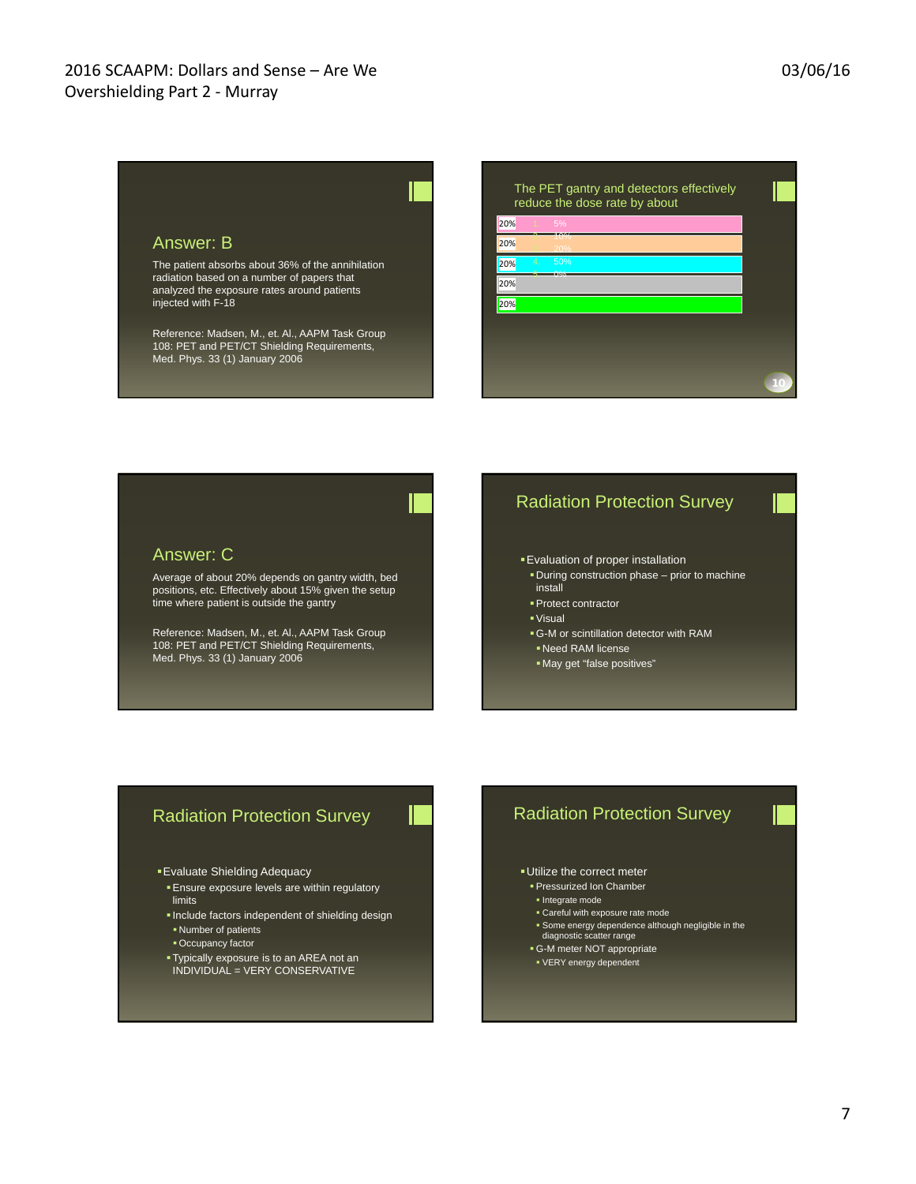#### Answer: B

The patient absorbs about 36% of the annihilation radiation based on a number of papers that analyzed the exposure rates around patients injected with F-18

Reference: Madsen, M., et. Al., AAPM Task Group 108: PET and PET/CT Shielding Requirements, Med. Phys. 33 (1) January 2006

|     | The PET gantry and detectors effectively<br>reduce the dose rate by about |  |
|-----|---------------------------------------------------------------------------|--|
| 20% | 5%                                                                        |  |
| 20% | 20%                                                                       |  |
| 20% | 50%<br>4.<br><b>TACA</b>                                                  |  |
| 20% |                                                                           |  |
| 20% |                                                                           |  |
|     |                                                                           |  |
|     |                                                                           |  |
|     |                                                                           |  |

#### Answer: C

Average of about 20% depends on gantry width, bed positions, etc. Effectively about 15% given the setup time where patient is outside the gantry

Reference: Madsen, M., et. Al., AAPM Task Group 108: PET and PET/CT Shielding Requirements, Med. Phys. 33 (1) January 2006

### Radiation Protection Survey

- Evaluation of proper installation
- During construction phase prior to machine install
- **Protect contractor**
- Visual
- G-M or scintillation detector with RAM
- Need RAM license
- May get "false positives"

# Radiation Protection Survey

Evaluate Shielding Adequacy

- **Ensure exposure levels are within regulatory** limits
- Include factors independent of shielding design Number of patients
- **Occupancy factor**
- Typically exposure is to an AREA not an INDIVIDUAL = VERY CONSERVATIVE

## Radiation Protection Survey

#### Utilize the correct meter

- **Pressurized Ion Chamber**
- **Integrate mode**
- Careful with exposure rate mode
- Some energy dependence although negligible in the diagnostic scatter range
- 
- G-M meter NOT appropriate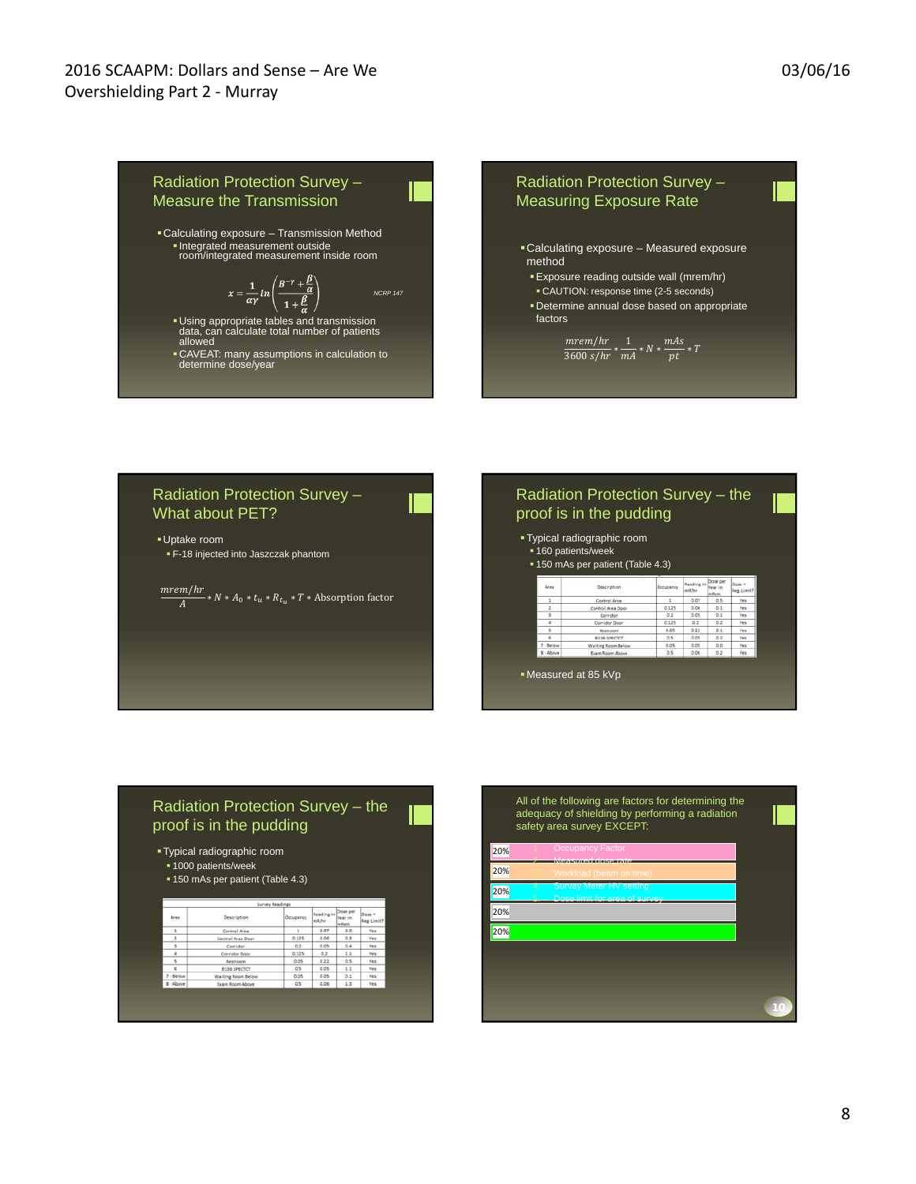

#### Radiation Protection Survey – What about PET?

Uptake room F-18 injected into Jaszczak phantom

 $\frac{merem/hr}{A} * N * A_0 * t_u * R_{t_u} * T * \text{Absorption factor}$ 

#### Radiation Protection Survey – the proof is in the pudding

- Typical radiographic room
- **160 patients/week**

ing R

|      | • 150 mAs per patient (Table 4.3) |           |                            |                     |                      |
|------|-----------------------------------|-----------|----------------------------|---------------------|----------------------|
| Area | Description                       | Occupancy | <b>Reading</b> in<br>mB/hr | Dose per<br>lear in | Dose <<br>Reg. Limit |
| 1    | Control Area                      | t.        | 0.07                       | 0.5                 | Yes                  |
| ĭ    | Control Area Door                 | 0.125     | 0.06                       | 0.1                 | Yes.                 |
| 3    | Corridor                          | 0.2       | 0.05                       | 0.1                 | Yes:                 |
| ż    | Corridor Door                     | 0.125     | 0.2                        | 0.2                 | Yes                  |
|      |                                   |           |                            |                     |                      |

Measured at 85 kVp

# Radiation Protection Survey – the proof is in the pudding

#### Typical radiographic room

- **1000 patients/week**
- 150 mAs per patient (Table 4.3)

| Area                 | <b>Description</b> | Occupancy | Reading in<br>mB/hr | Dose per<br>Year in<br>mRem. | Dose <<br>Reg. Limit? |
|----------------------|--------------------|-----------|---------------------|------------------------------|-----------------------|
| $1 -$                | Control Area       | 1         | 0.07                | 3.0                          | Yes                   |
| $\ddot{\phantom{a}}$ | Control Area Door  | 0.125     | 0.06                | 0.3                          | Yes                   |
| 3.1                  | Corridor           | 0.2       | 0.05                | 0.4                          | Yes.                  |
| $\sim$               | Corridor Door      | 0.125     | 0.2                 | 1.1                          | Yes:                  |
| 5                    | Restroom           | 0.05      | 0.22                | 0.5                          | Yes                   |
| $\sim$               | B136 SPECTCT       | $0.5 -$   | 0.05                | $-1.1$                       | Yes.                  |
| $7 - Below$          | Waiting Room Below | 0.05      | 0.05                | 0.1                          | Yes.                  |
| 8 - Above            | Exam Room Above    | 0.5       | 0.06                | 1.3                          | Yes                   |

#### All of the following are factors for determining the adequacy of shielding by performing a radiation safety area survey EXCEPT: 20% 20% 2. Measured doserate 4. Survey Meter HV setting

20% 20% 20% 5. Dose limit for area of survey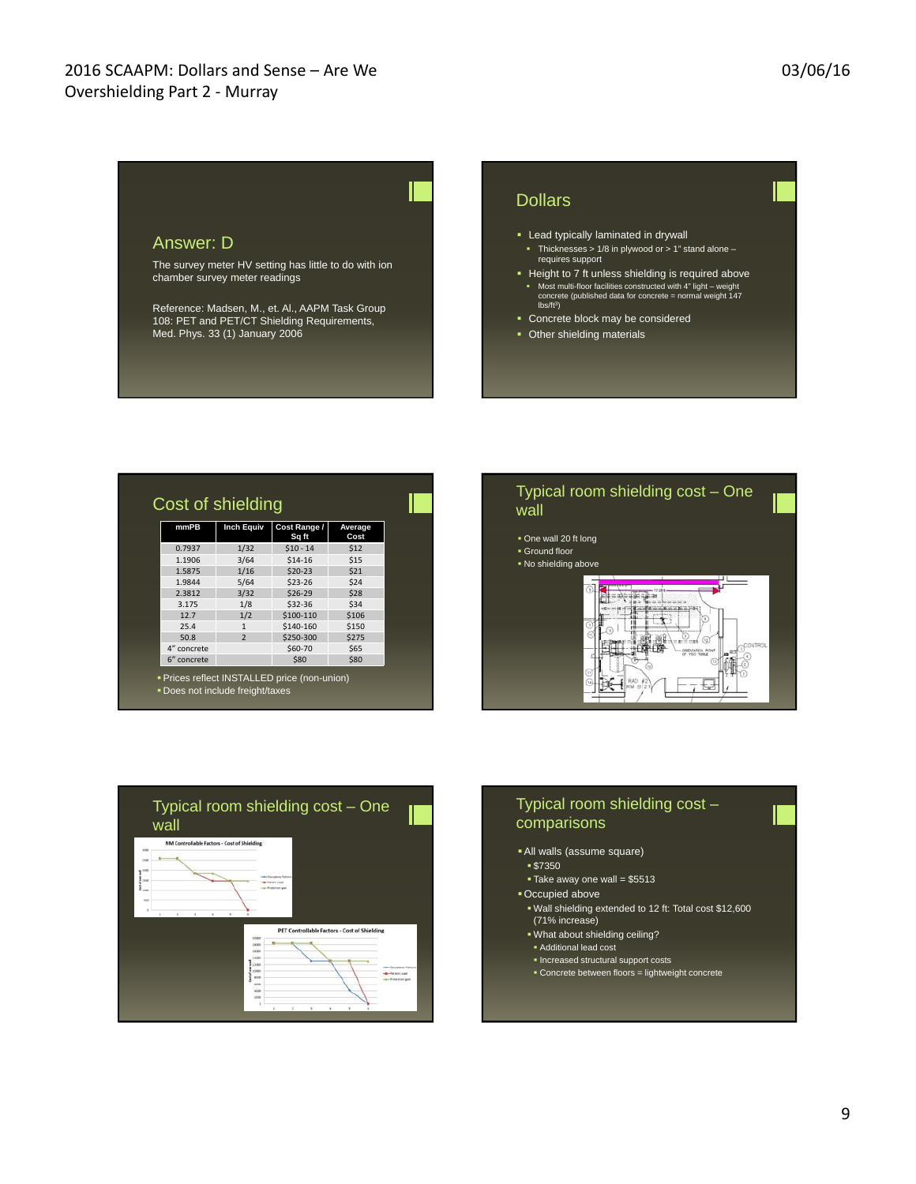#### Answer: D The survey meter HV setting has little to do with ion chamber survey meter readings Reference: Madsen, M., et. Al., AAPM Task Group 108: PET and PET/CT Shielding Requirements, Med. Phys. 33 (1) January 2006 **Dollars EXEC** Lead typically laminated in drywall Thicknesses  $> 1/8$  in plywood or  $> 1$ " stand alone – requires support Height to 7 ft unless shielding is required above Most multi-floor facilities constructed with 4" light – weight concrete (published data for concrete = normal weight 147 lbs/ft3) **Concrete block may be considered**

• Other shielding materials

| mmPB        | <b>Inch Equiv</b> | Cost Range /<br>Sq ft | Average<br>Cost |
|-------------|-------------------|-----------------------|-----------------|
| 0.7937      | 1/32              | $$10 - 14$            | \$12            |
| 1.1906      | 3/64              | \$14-16               | \$15            |
| 1.5875      | 1/16              | $$20-23$              | \$21            |
| 1.9844      | 5/64              | $$23-26$              | \$24            |
| 2.3812      | 3/32              | \$26-29               | \$28            |
| 3.175       | 1/8               | \$32-36               | \$34            |
| 12.7        | 1/2               | \$100-110             | \$106           |
| 25.4        | $\mathbf{1}$      | \$140-160             | \$150           |
| 50.8        | $\overline{2}$    | \$250-300             | \$275           |
| 4" concrete |                   | \$60-70               | \$65            |
| 6" concrete |                   | \$80                  | \$80            |







- All walls (assume square)
	- \$7350
	- Take away one wall = \$5513
- Occupied above
- Wall shielding extended to 12 ft: Total cost \$12,600 (71% increase)
- . What about shielding ceiling?
- Additional lead cost
- Increased structural support costs
- Concrete between floors = lightweight concrete